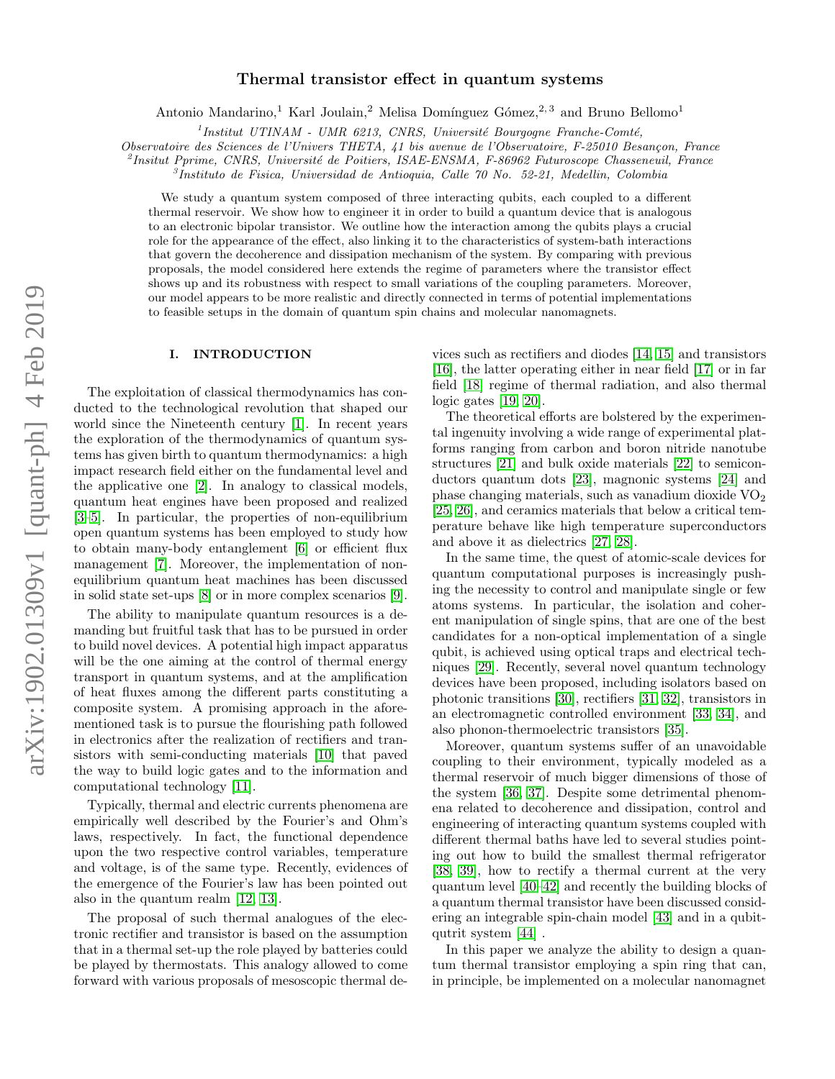# arXiv:1902.01309v1 [quant-ph] 4 Feb 2019 arXiv:1902.01309v1 [quant-ph] 4 Feb 2019

# Thermal transistor effect in quantum systems

Antonio Mandarino,<sup>1</sup> Karl Joulain,<sup>2</sup> Melisa Domínguez Gómez,<sup>2, 3</sup> and Bruno Bellomo<sup>1</sup>

 $1$ Institut UTINAM - UMR 6213, CNRS, Université Bourgogne Franche-Comté,

Observatoire des Sciences de l'Univers THETA, 41 bis avenue de l'Observatoire, F-25010 Besançon, France

<sup>2</sup>Insitut Pprime, CNRS, Université de Poitiers, ISAE-ENSMA, F-86962 Futuroscope Chasseneuil, France

3 Instituto de Fisica, Universidad de Antioquia, Calle 70 No. 52-21, Medellin, Colombia

We study a quantum system composed of three interacting qubits, each coupled to a different thermal reservoir. We show how to engineer it in order to build a quantum device that is analogous to an electronic bipolar transistor. We outline how the interaction among the qubits plays a crucial role for the appearance of the effect, also linking it to the characteristics of system-bath interactions that govern the decoherence and dissipation mechanism of the system. By comparing with previous proposals, the model considered here extends the regime of parameters where the transistor effect shows up and its robustness with respect to small variations of the coupling parameters. Moreover, our model appears to be more realistic and directly connected in terms of potential implementations to feasible setups in the domain of quantum spin chains and molecular nanomagnets.

# I. INTRODUCTION

The exploitation of classical thermodynamics has conducted to the technological revolution that shaped our world since the Nineteenth century [\[1\]](#page-9-0). In recent years the exploration of the thermodynamics of quantum systems has given birth to quantum thermodynamics: a high impact research field either on the fundamental level and the applicative one [\[2\]](#page-9-1). In analogy to classical models, quantum heat engines have been proposed and realized [\[3–](#page-9-2)[5\]](#page-9-3). In particular, the properties of non-equilibrium open quantum systems has been employed to study how to obtain many-body entanglement [\[6\]](#page-9-4) or efficient flux management [\[7\]](#page-9-5). Moreover, the implementation of nonequilibrium quantum heat machines has been discussed in solid state set-ups [\[8\]](#page-9-6) or in more complex scenarios [\[9\]](#page-9-7).

The ability to manipulate quantum resources is a demanding but fruitful task that has to be pursued in order to build novel devices. A potential high impact apparatus will be the one aiming at the control of thermal energy transport in quantum systems, and at the amplification of heat fluxes among the different parts constituting a composite system. A promising approach in the aforementioned task is to pursue the flourishing path followed in electronics after the realization of rectifiers and transistors with semi-conducting materials [\[10\]](#page-9-8) that paved the way to build logic gates and to the information and computational technology [\[11\]](#page-9-9).

Typically, thermal and electric currents phenomena are empirically well described by the Fourier's and Ohm's laws, respectively. In fact, the functional dependence upon the two respective control variables, temperature and voltage, is of the same type. Recently, evidences of the emergence of the Fourier's law has been pointed out also in the quantum realm [\[12,](#page-9-10) [13\]](#page-9-11).

The proposal of such thermal analogues of the electronic rectifier and transistor is based on the assumption that in a thermal set-up the role played by batteries could be played by thermostats. This analogy allowed to come forward with various proposals of mesoscopic thermal de-

vices such as rectifiers and diodes [\[14,](#page-9-12) [15\]](#page-9-13) and transistors [\[16\]](#page-9-14), the latter operating either in near field [\[17\]](#page-9-15) or in far field [\[18\]](#page-9-16) regime of thermal radiation, and also thermal logic gates [\[19,](#page-9-17) [20\]](#page-9-18).

The theoretical efforts are bolstered by the experimental ingenuity involving a wide range of experimental platforms ranging from carbon and boron nitride nanotube structures [\[21\]](#page-9-19) and bulk oxide materials [\[22\]](#page-9-20) to semiconductors quantum dots [\[23\]](#page-9-21), magnonic systems [\[24\]](#page-9-22) and phase changing materials, such as vanadium dioxide  $VO<sub>2</sub>$ [\[25,](#page-9-23) [26\]](#page-9-24), and ceramics materials that below a critical temperature behave like high temperature superconductors and above it as dielectrics [\[27,](#page-9-25) [28\]](#page-9-26).

In the same time, the quest of atomic-scale devices for quantum computational purposes is increasingly pushing the necessity to control and manipulate single or few atoms systems. In particular, the isolation and coherent manipulation of single spins, that are one of the best candidates for a non-optical implementation of a single qubit, is achieved using optical traps and electrical techniques [\[29\]](#page-9-27). Recently, several novel quantum technology devices have been proposed, including isolators based on photonic transitions [\[30\]](#page-9-28), rectifiers [\[31,](#page-9-29) [32\]](#page-9-30), transistors in an electromagnetic controlled environment [\[33,](#page-9-31) [34\]](#page-9-32), and also phonon-thermoelectric transistors [\[35\]](#page-9-33).

Moreover, quantum systems suffer of an unavoidable coupling to their environment, typically modeled as a thermal reservoir of much bigger dimensions of those of the system [\[36,](#page-9-34) [37\]](#page-9-35). Despite some detrimental phenomena related to decoherence and dissipation, control and engineering of interacting quantum systems coupled with different thermal baths have led to several studies pointing out how to build the smallest thermal refrigerator [\[38,](#page-9-36) [39\]](#page-9-37), how to rectify a thermal current at the very quantum level [\[40](#page-9-38)[–42\]](#page-9-39) and recently the building blocks of a quantum thermal transistor have been discussed considering an integrable spin-chain model [\[43\]](#page-9-40) and in a qubitqutrit system [\[44\]](#page-9-41) .

In this paper we analyze the ability to design a quantum thermal transistor employing a spin ring that can, in principle, be implemented on a molecular nanomagnet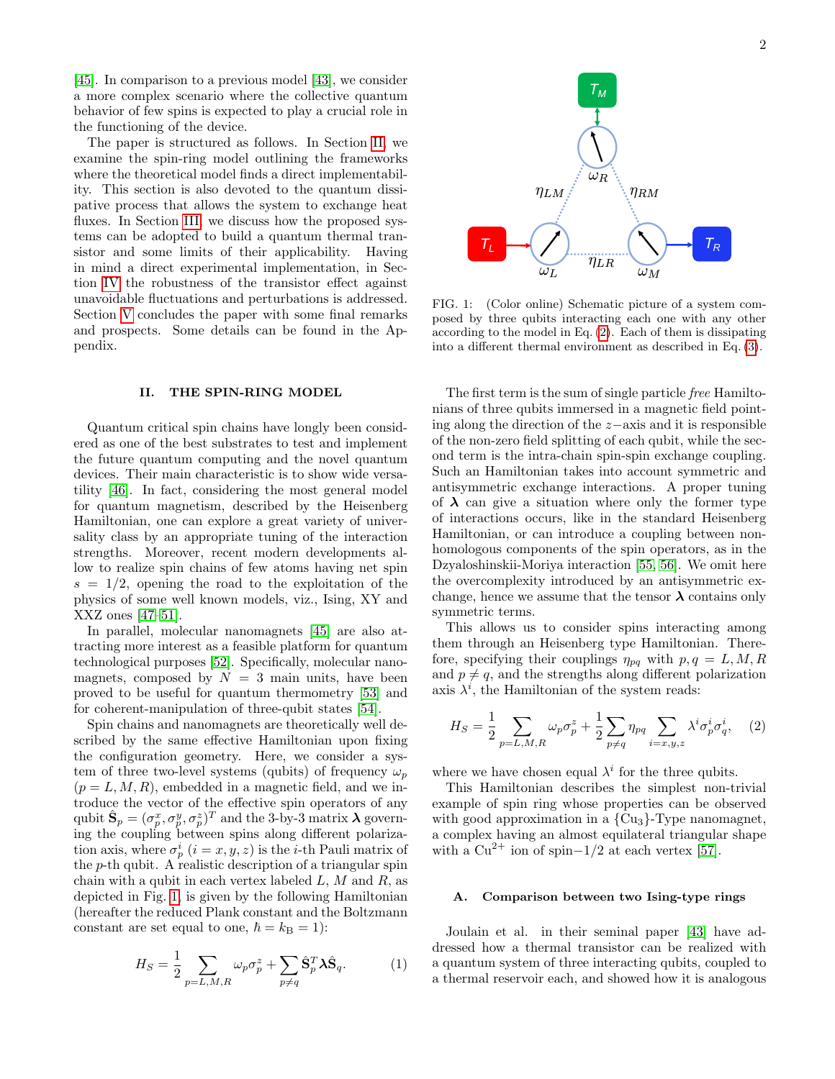[\[45\]](#page-9-42). In comparison to a previous model [\[43\]](#page-9-40), we consider a more complex scenario where the collective quantum behavior of few spins is expected to play a crucial role in the functioning of the device.

The paper is structured as follows. In Section [II,](#page-1-0) we examine the spin-ring model outlining the frameworks where the theoretical model finds a direct implementability. This section is also devoted to the quantum dissipative process that allows the system to exchange heat fluxes. In Section [III,](#page-3-0) we discuss how the proposed systems can be adopted to build a quantum thermal transistor and some limits of their applicability. Having in mind a direct experimental implementation, in Section [IV](#page-6-0) the robustness of the transistor effect against unavoidable fluctuations and perturbations is addressed. Section [V](#page-7-0) concludes the paper with some final remarks and prospects. Some details can be found in the Appendix.

# <span id="page-1-0"></span>II. THE SPIN-RING MODEL

Quantum critical spin chains have longly been considered as one of the best substrates to test and implement the future quantum computing and the novel quantum devices. Their main characteristic is to show wide versatility [\[46\]](#page-9-43). In fact, considering the most general model for quantum magnetism, described by the Heisenberg Hamiltonian, one can explore a great variety of universality class by an appropriate tuning of the interaction strengths. Moreover, recent modern developments allow to realize spin chains of few atoms having net spin  $s = 1/2$ , opening the road to the exploitation of the physics of some well known models, viz., Ising, XY and XXZ ones [\[47](#page-9-44)[–51\]](#page-9-45).

In parallel, molecular nanomagnets [\[45\]](#page-9-42) are also attracting more interest as a feasible platform for quantum technological purposes [\[52\]](#page-9-46). Specifically, molecular nanomagnets, composed by  $N = 3$  main units, have been proved to be useful for quantum thermometry [\[53\]](#page-9-47) and for coherent-manipulation of three-qubit states [\[54\]](#page-9-48).

Spin chains and nanomagnets are theoretically well described by the same effective Hamiltonian upon fixing the configuration geometry. Here, we consider a system of three two-level systems (qubits) of frequency  $\omega_p$  $(p = L, M, R)$ , embedded in a magnetic field, and we introduce the vector of the effective spin operators of any qubit  $\hat{\mathbf{S}}_p = (\sigma_p^x, \sigma_p^y, \sigma_p^z)^T$  and the 3-by-3 matrix  $\boldsymbol{\lambda}$  governing the coupling between spins along different polarization axis, where  $\sigma_p^i$   $(i = x, y, z)$  is the *i*-th Pauli matrix of the  $p$ -th qubit. A realistic description of a triangular spin chain with a qubit in each vertex labeled  $L, M$  and  $R$ , as depicted in Fig. [1,](#page-1-1) is given by the following Hamiltonian (hereafter the reduced Plank constant and the Boltzmann constant are set equal to one,  $\hbar = k_B = 1$ :

$$
H_S = \frac{1}{2} \sum_{p=L,M,R} \omega_p \sigma_p^z + \sum_{p \neq q} \hat{\mathbf{S}}_p^T \mathbf{\lambda} \hat{\mathbf{S}}_q.
$$
 (1)



<span id="page-1-1"></span>FIG. 1: (Color online) Schematic picture of a system composed by three qubits interacting each one with any other according to the model in Eq. [\(2\)](#page-1-2). Each of them is dissipating into a different thermal environment as described in Eq. [\(3\)](#page-2-0).

The first term is the sum of single particle free Hamiltonians of three qubits immersed in a magnetic field pointing along the direction of the z−axis and it is responsible of the non-zero field splitting of each qubit, while the second term is the intra-chain spin-spin exchange coupling. Such an Hamiltonian takes into account symmetric and antisymmetric exchange interactions. A proper tuning of  $\lambda$  can give a situation where only the former type of interactions occurs, like in the standard Heisenberg Hamiltonian, or can introduce a coupling between nonhomologous components of the spin operators, as in the Dzyaloshinskii-Moriya interaction [\[55,](#page-9-49) [56\]](#page-9-50). We omit here the overcomplexity introduced by an antisymmetric exchange, hence we assume that the tensor  $\lambda$  contains only symmetric terms.

This allows us to consider spins interacting among them through an Heisenberg type Hamiltonian. Therefore, specifying their couplings  $\eta_{pq}$  with  $p, q = L, M, R$ and  $p \neq q$ , and the strengths along different polarization axis  $\lambda^{i}$ , the Hamiltonian of the system reads:

<span id="page-1-2"></span>
$$
H_S = \frac{1}{2} \sum_{p=L,M,R} \omega_p \sigma_p^z + \frac{1}{2} \sum_{p \neq q} \eta_{pq} \sum_{i=x,y,z} \lambda^i \sigma_p^i \sigma_q^i, \quad (2)
$$

where we have chosen equal  $\lambda^i$  for the three qubits.

This Hamiltonian describes the simplest non-trivial example of spin ring whose properties can be observed with good approximation in a  ${Cu<sub>3</sub>}$ -Type nanomagnet, a complex having an almost equilateral triangular shape with a  $Cu^{2+}$  ion of spin–1/2 at each vertex [\[57\]](#page-9-51).

### <span id="page-1-3"></span>A. Comparison between two Ising-type rings

Joulain et al. in their seminal paper [\[43\]](#page-9-40) have addressed how a thermal transistor can be realized with a quantum system of three interacting qubits, coupled to a thermal reservoir each, and showed how it is analogous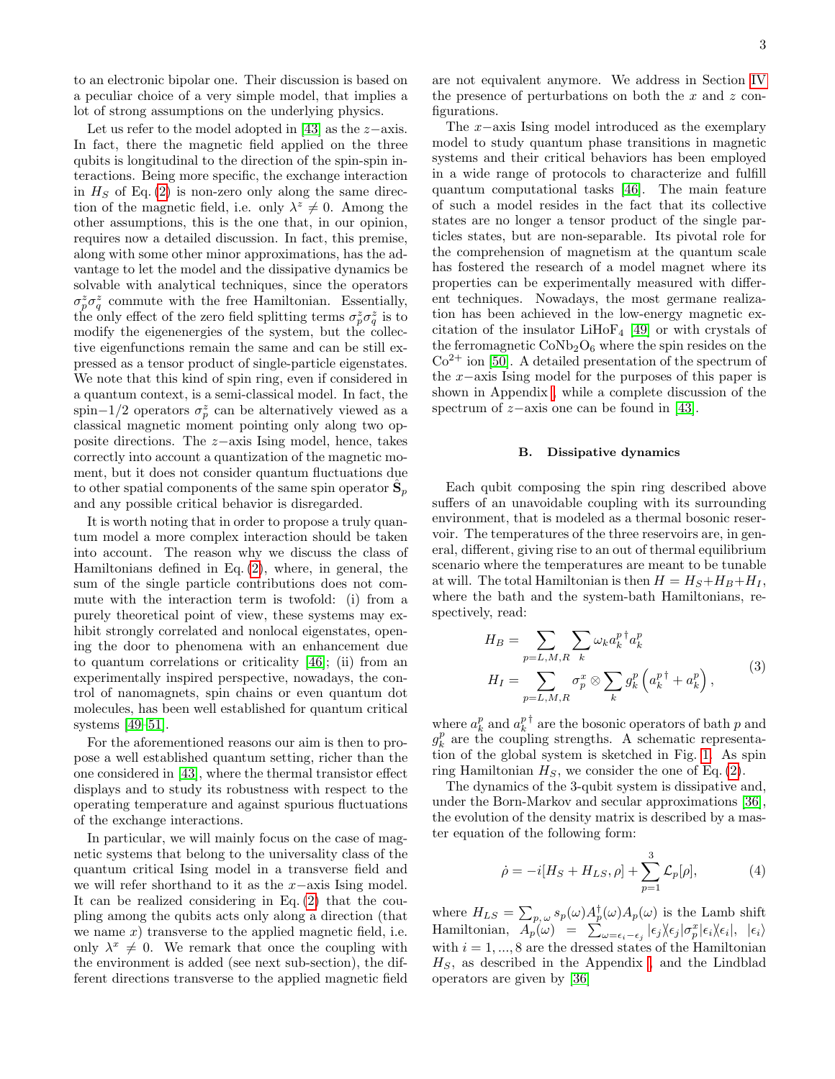to an electronic bipolar one. Their discussion is based on a peculiar choice of a very simple model, that implies a lot of strong assumptions on the underlying physics.

Let us refer to the model adopted in [\[43\]](#page-9-40) as the  $z$ −axis. In fact, there the magnetic field applied on the three qubits is longitudinal to the direction of the spin-spin interactions. Being more specific, the exchange interaction in  $H<sub>S</sub>$  of Eq. [\(2\)](#page-1-2) is non-zero only along the same direction of the magnetic field, i.e. only  $\lambda^z \neq 0$ . Among the other assumptions, this is the one that, in our opinion, requires now a detailed discussion. In fact, this premise, along with some other minor approximations, has the advantage to let the model and the dissipative dynamics be solvable with analytical techniques, since the operators  $\sigma_p^z \sigma_q^z$  commute with the free Hamiltonian. Essentially, the only effect of the zero field splitting terms  $\sigma_p^z \sigma_q^z$  is to modify the eigenenergies of the system, but the collective eigenfunctions remain the same and can be still expressed as a tensor product of single-particle eigenstates. We note that this kind of spin ring, even if considered in a quantum context, is a semi-classical model. In fact, the spin–1/2 operators  $\sigma_p^z$  can be alternatively viewed as a classical magnetic moment pointing only along two opposite directions. The z−axis Ising model, hence, takes correctly into account a quantization of the magnetic moment, but it does not consider quantum fluctuations due to other spatial components of the same spin operator  $\hat{\mathbf{S}}_p$ and any possible critical behavior is disregarded.

It is worth noting that in order to propose a truly quantum model a more complex interaction should be taken into account. The reason why we discuss the class of Hamiltonians defined in Eq. [\(2\)](#page-1-2), where, in general, the sum of the single particle contributions does not commute with the interaction term is twofold: (i) from a purely theoretical point of view, these systems may exhibit strongly correlated and nonlocal eigenstates, opening the door to phenomena with an enhancement due to quantum correlations or criticality [\[46\]](#page-9-43); (ii) from an experimentally inspired perspective, nowadays, the control of nanomagnets, spin chains or even quantum dot molecules, has been well established for quantum critical systems [\[49–](#page-9-52)[51\]](#page-9-45).

For the aforementioned reasons our aim is then to propose a well established quantum setting, richer than the one considered in [\[43\]](#page-9-40), where the thermal transistor effect displays and to study its robustness with respect to the operating temperature and against spurious fluctuations of the exchange interactions.

In particular, we will mainly focus on the case of magnetic systems that belong to the universality class of the quantum critical Ising model in a transverse field and we will refer shorthand to it as the x−axis Ising model. It can be realized considering in Eq. [\(2\)](#page-1-2) that the coupling among the qubits acts only along a direction (that we name  $x$ ) transverse to the applied magnetic field, i.e. only  $\lambda^x \neq 0$ . We remark that once the coupling with the environment is added (see next sub-section), the different directions transverse to the applied magnetic field are not equivalent anymore. We address in Section [IV](#page-6-0) the presence of perturbations on both the  $x$  and  $z$  configurations.

The x−axis Ising model introduced as the exemplary model to study quantum phase transitions in magnetic systems and their critical behaviors has been employed in a wide range of protocols to characterize and fulfill quantum computational tasks [\[46\]](#page-9-43). The main feature of such a model resides in the fact that its collective states are no longer a tensor product of the single particles states, but are non-separable. Its pivotal role for the comprehension of magnetism at the quantum scale has fostered the research of a model magnet where its properties can be experimentally measured with different techniques. Nowadays, the most germane realization has been achieved in the low-energy magnetic excitation of the insulator LiHo $F_4$  [\[49\]](#page-9-52) or with crystals of the ferromagnetic  $CoNb<sub>2</sub>O<sub>6</sub>$  where the spin resides on the  $Co<sup>2+</sup>$  ion [\[50\]](#page-9-53). A detailed presentation of the spectrum of the x−axis Ising model for the purposes of this paper is shown in Appendix [,](#page-8-0) while a complete discussion of the spectrum of z−axis one can be found in [\[43\]](#page-9-40).

### B. Dissipative dynamics

Each qubit composing the spin ring described above suffers of an unavoidable coupling with its surrounding environment, that is modeled as a thermal bosonic reservoir. The temperatures of the three reservoirs are, in general, different, giving rise to an out of thermal equilibrium scenario where the temperatures are meant to be tunable at will. The total Hamiltonian is then  $H = H_S + H_B + H_I$ , where the bath and the system-bath Hamiltonians, respectively, read:

<span id="page-2-0"></span>
$$
H_B = \sum_{p=L,M,R} \sum_k \omega_k a_k^{p \dagger} a_k^p
$$
  
\n
$$
H_I = \sum_{p=L,M,R} \sigma_p^x \otimes \sum_k g_k^p \left( a_k^{p \dagger} + a_k^p \right),
$$
\n(3)

where  $a_k^p$  and  $a_k^{p\dagger}$  are the bosonic operators of bath p and  $g_k^p$  are the coupling strengths. A schematic representation of the global system is sketched in Fig. [1.](#page-1-1) As spin ring Hamiltonian  $H<sub>S</sub>$ , we consider the one of Eq. [\(2\)](#page-1-2).

The dynamics of the 3-qubit system is dissipative and, under the Born-Markov and secular approximations [\[36\]](#page-9-34), the evolution of the density matrix is described by a master equation of the following form:

<span id="page-2-1"></span>
$$
\dot{\rho} = -i[H_S + H_{LS}, \rho] + \sum_{p=1}^{3} \mathcal{L}_p[\rho],
$$
 (4)

where  $H_{LS} = \sum_{p,\,\omega} s_p(\omega) A_p^{\dagger}(\omega) A_p(\omega)$  is the Lamb shift Hamiltonian,  $A_p(\omega) = \sum_{\omega=\epsilon_i-\epsilon_j}^{\infty} |\epsilon_j \rangle \epsilon_j |\sigma_p^x |\epsilon_i \rangle \epsilon_i |, |\epsilon_i \rangle$ with  $i = 1, ..., 8$  are the dressed states of the Hamiltonian  $H<sub>S</sub>$ , as described in the Appendix, and the Lindblad operators are given by [\[36\]](#page-9-34)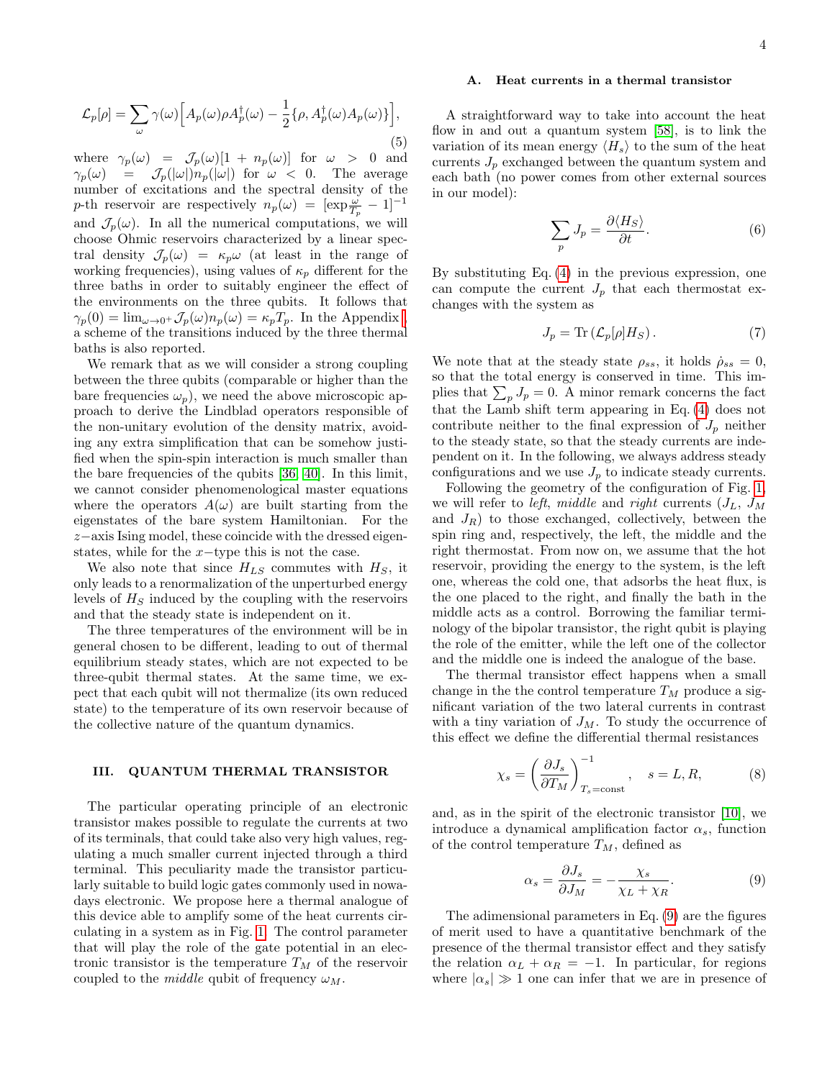$$
\mathcal{L}_p[\rho] = \sum_{\omega} \gamma(\omega) \Big[ A_p(\omega) \rho A_p^{\dagger}(\omega) - \frac{1}{2} \{ \rho, A_p^{\dagger}(\omega) A_p(\omega) \} \Big],\tag{5}
$$

where  $\gamma_p(\omega) = \mathcal{J}_p(\omega)[1 + n_p(\omega)]$  for  $\omega > 0$  and  $\gamma_p(\omega) = \mathcal{J}_p(|\omega|)n_p(|\omega|)$  for  $\omega < 0$ . The average number of excitations and the spectral density of the p-th reservoir are respectively  $n_p(\omega) = [\exp{\frac{\omega}{T_p}} - 1]^{-1}$ and  $\mathcal{J}_p(\omega)$ . In all the numerical computations, we will choose Ohmic reservoirs characterized by a linear spectral density  $\mathcal{J}_p(\omega) = \kappa_p \omega$  (at least in the range of working frequencies), using values of  $\kappa_p$  different for the three baths in order to suitably engineer the effect of the environments on the three qubits. It follows that  $\gamma_p(0) = \lim_{\omega \to 0^+} \mathcal{J}_p(\omega) n_p(\omega) = \kappa_p T_p$ . In the Appendix, a scheme of the transitions induced by the three thermal baths is also reported.

We remark that as we will consider a strong coupling between the three qubits (comparable or higher than the bare frequencies  $\omega_p$ , we need the above microscopic approach to derive the Lindblad operators responsible of the non-unitary evolution of the density matrix, avoiding any extra simplification that can be somehow justified when the spin-spin interaction is much smaller than the bare frequencies of the qubits [\[36,](#page-9-34) [40\]](#page-9-38). In this limit, we cannot consider phenomenological master equations where the operators  $A(\omega)$  are built starting from the eigenstates of the bare system Hamiltonian. For the z−axis Ising model, these coincide with the dressed eigenstates, while for the  $x$ −type this is not the case.

We also note that since  $H_{LS}$  commutes with  $H_S$ , it only leads to a renormalization of the unperturbed energy levels of  $H<sub>S</sub>$  induced by the coupling with the reservoirs and that the steady state is independent on it.

The three temperatures of the environment will be in general chosen to be different, leading to out of thermal equilibrium steady states, which are not expected to be three-qubit thermal states. At the same time, we expect that each qubit will not thermalize (its own reduced state) to the temperature of its own reservoir because of the collective nature of the quantum dynamics.

# <span id="page-3-0"></span>III. QUANTUM THERMAL TRANSISTOR

The particular operating principle of an electronic transistor makes possible to regulate the currents at two of its terminals, that could take also very high values, regulating a much smaller current injected through a third terminal. This peculiarity made the transistor particularly suitable to build logic gates commonly used in nowadays electronic. We propose here a thermal analogue of this device able to amplify some of the heat currents circulating in a system as in Fig. [1.](#page-1-1) The control parameter that will play the role of the gate potential in an electronic transistor is the temperature  $T_M$  of the reservoir coupled to the *middle* qubit of frequency  $\omega_M$ .

# A. Heat currents in a thermal transistor

A straightforward way to take into account the heat flow in and out a quantum system [\[58\]](#page-9-54), is to link the variation of its mean energy  $\langle H_s \rangle$  to the sum of the heat currents  $J_p$  exchanged between the quantum system and each bath (no power comes from other external sources in our model):

$$
\sum_{p} J_{p} = \frac{\partial \langle H_{S} \rangle}{\partial t}.
$$
\n(6)

By substituting Eq. [\(4\)](#page-2-1) in the previous expression, one can compute the current  $J_p$  that each thermostat exchanges with the system as

<span id="page-3-2"></span>
$$
J_p = \text{Tr}\left(\mathcal{L}_p[\rho]H_S\right). \tag{7}
$$

We note that at the steady state  $\rho_{ss}$ , it holds  $\dot{\rho}_{ss} = 0$ , so that the total energy is conserved in time. This implies that  $\sum_{p} J_p = 0$ . A minor remark concerns the fact that the Lamb shift term appearing in Eq. [\(4\)](#page-2-1) does not contribute neither to the final expression of  $J_p$  neither to the steady state, so that the steady currents are independent on it. In the following, we always address steady configurations and we use  $J_p$  to indicate steady currents.

Following the geometry of the configuration of Fig. [1,](#page-1-1) we will refer to *left*, middle and right currents  $(J_L, J_M)$ and  $J_R$ ) to those exchanged, collectively, between the spin ring and, respectively, the left, the middle and the right thermostat. From now on, we assume that the hot reservoir, providing the energy to the system, is the left one, whereas the cold one, that adsorbs the heat flux, is the one placed to the right, and finally the bath in the middle acts as a control. Borrowing the familiar terminology of the bipolar transistor, the right qubit is playing the role of the emitter, while the left one of the collector and the middle one is indeed the analogue of the base.

The thermal transistor effect happens when a small change in the the control temperature  $T_M$  produce a significant variation of the two lateral currents in contrast with a tiny variation of  $J_M$ . To study the occurrence of this effect we define the differential thermal resistances

$$
\chi_s = \left(\frac{\partial J_s}{\partial T_M}\right)_{T_s = \text{const}}^{-1}, \quad s = L, R,\tag{8}
$$

and, as in the spirit of the electronic transistor [\[10\]](#page-9-8), we introduce a dynamical amplification factor  $\alpha_s$ , function of the control temperature  $T_M$ , defined as

<span id="page-3-1"></span>
$$
\alpha_s = \frac{\partial J_s}{\partial J_M} = -\frac{\chi_s}{\chi_L + \chi_R}.\tag{9}
$$

The adimensional parameters in Eq. [\(9\)](#page-3-1) are the figures of merit used to have a quantitative benchmark of the presence of the thermal transistor effect and they satisfy the relation  $\alpha_L + \alpha_R = -1$ . In particular, for regions where  $|\alpha_s| \gg 1$  one can infer that we are in presence of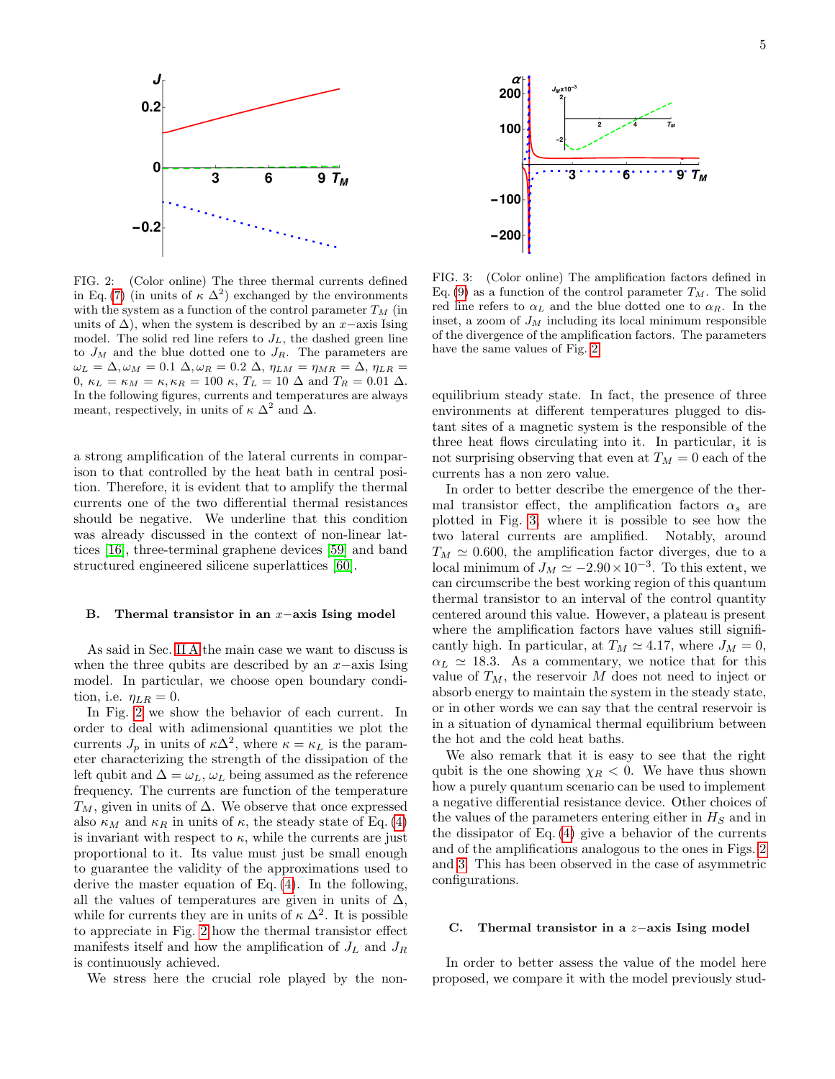

<span id="page-4-0"></span>FIG. 2: (Color online) The three thermal currents defined in Eq. [\(7\)](#page-3-2) (in units of  $\kappa \Delta^2$ ) exchanged by the environments with the system as a function of the control parameter  $T_M$  (in units of  $\Delta$ ), when the system is described by an x–axis Ising model. The solid red line refers to  $J_L$ , the dashed green line to  $J_M$  and the blue dotted one to  $J_R$ . The parameters are  $\omega_L = \Delta, \omega_M = 0.1 \Delta, \omega_R = 0.2 \Delta, \eta_{LM} = \eta_{MR} = \Delta, \eta_{LR} =$ 0,  $\kappa_L = \kappa_M = \kappa, \kappa_R = 100 \kappa, T_L = 10 \Delta$  and  $T_R = 0.01 \Delta$ . In the following figures, currents and temperatures are always meant, respectively, in units of  $\kappa \Delta^2$  and  $\Delta$ .

a strong amplification of the lateral currents in comparison to that controlled by the heat bath in central position. Therefore, it is evident that to amplify the thermal currents one of the two differential thermal resistances should be negative. We underline that this condition was already discussed in the context of non-linear lattices [\[16\]](#page-9-14), three-terminal graphene devices [\[59\]](#page-10-0) and band structured engineered silicene superlattices [\[60\]](#page-10-1).

### <span id="page-4-2"></span>B. Thermal transistor in an x−axis Ising model

As said in Sec. [II A](#page-1-3) the main case we want to discuss is when the three qubits are described by an  $x$ −axis Ising model. In particular, we choose open boundary condition, i.e.  $\eta_{LR} = 0$ .

In Fig. [2](#page-4-0) we show the behavior of each current. In order to deal with adimensional quantities we plot the currents  $J_p$  in units of  $\kappa \Delta^2$ , where  $\kappa = \kappa_L$  is the parameter characterizing the strength of the dissipation of the left qubit and  $\Delta = \omega_L, \omega_L$  being assumed as the reference frequency. The currents are function of the temperature  $T_M$ , given in units of  $\Delta$ . We observe that once expressed also  $\kappa_M$  and  $\kappa_R$  in units of  $\kappa$ , the steady state of Eq. [\(4\)](#page-2-1) is invariant with respect to  $\kappa$ , while the currents are just proportional to it. Its value must just be small enough to guarantee the validity of the approximations used to derive the master equation of Eq. [\(4\)](#page-2-1). In the following, all the values of temperatures are given in units of  $\Delta$ , while for currents they are in units of  $\kappa \Delta^2$ . It is possible to appreciate in Fig. [2](#page-4-0) how the thermal transistor effect manifests itself and how the amplification of  ${\cal J}_L$  and  ${\cal J}_R$ is continuously achieved.

We stress here the crucial role played by the non-



<span id="page-4-1"></span>FIG. 3: (Color online) The amplification factors defined in Eq. [\(9\)](#page-3-1) as a function of the control parameter  $T_M$ . The solid red line refers to  $\alpha_L$  and the blue dotted one to  $\alpha_R$ . In the inset, a zoom of  $J_M$  including its local minimum responsible of the divergence of the amplification factors. The parameters have the same values of Fig. [2.](#page-4-0)

equilibrium steady state. In fact, the presence of three environments at different temperatures plugged to distant sites of a magnetic system is the responsible of the three heat flows circulating into it. In particular, it is not surprising observing that even at  $T_M = 0$  each of the currents has a non zero value.

In order to better describe the emergence of the thermal transistor effect, the amplification factors  $\alpha_s$  are plotted in Fig. [3,](#page-4-1) where it is possible to see how the two lateral currents are amplified. Notably, around  $T_M \simeq 0.600$ , the amplification factor diverges, due to a local minimum of  $J_M \simeq -2.90 \times 10^{-3}$ . To this extent, we can circumscribe the best working region of this quantum thermal transistor to an interval of the control quantity centered around this value. However, a plateau is present where the amplification factors have values still significantly high. In particular, at  $T_M \simeq 4.17$ , where  $J_M = 0$ ,  $\alpha_L \simeq 18.3$ . As a commentary, we notice that for this value of  $T_M$ , the reservoir M does not need to inject or absorb energy to maintain the system in the steady state, or in other words we can say that the central reservoir is in a situation of dynamical thermal equilibrium between the hot and the cold heat baths.

We also remark that it is easy to see that the right qubit is the one showing  $\chi_R < 0$ . We have thus shown how a purely quantum scenario can be used to implement a negative differential resistance device. Other choices of the values of the parameters entering either in  $H<sub>S</sub>$  and in the dissipator of Eq. [\(4\)](#page-2-1) give a behavior of the currents and of the amplifications analogous to the ones in Figs. [2](#page-4-0) and [3.](#page-4-1) This has been observed in the case of asymmetric configurations.

# C. Thermal transistor in a z−axis Ising model

In order to better assess the value of the model here proposed, we compare it with the model previously stud-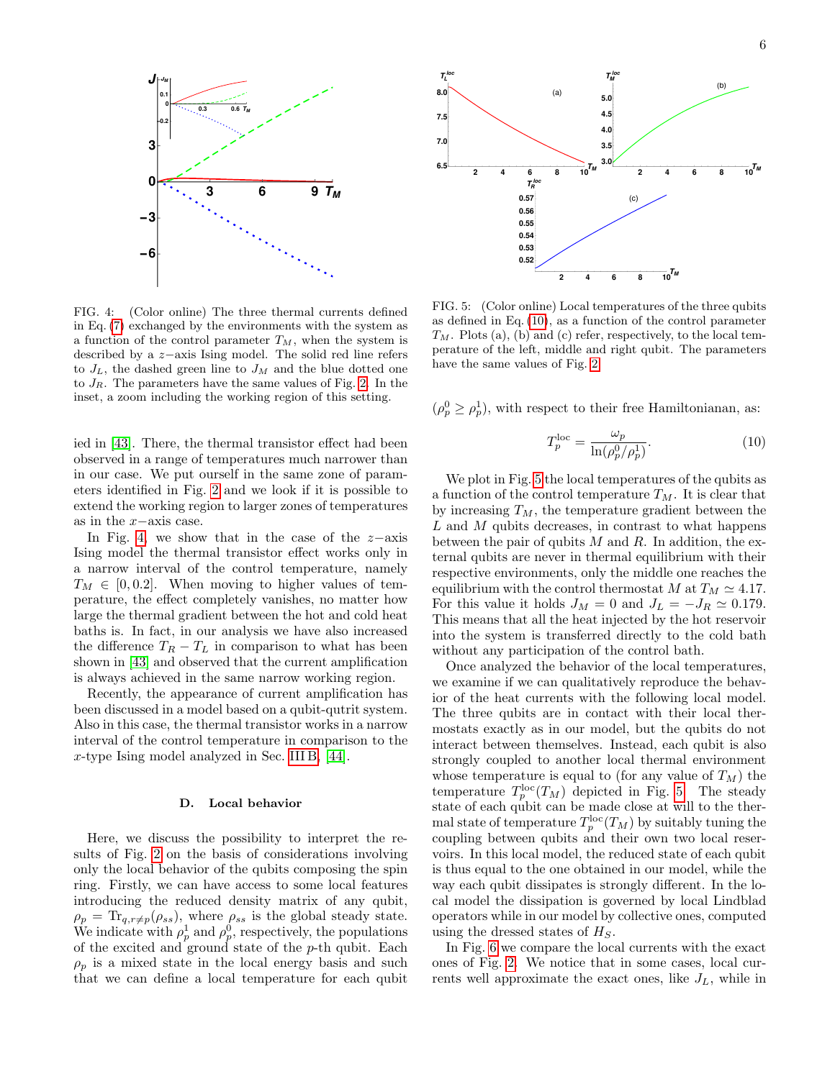

<span id="page-5-0"></span>FIG. 4: (Color online) The three thermal currents defined in Eq. [\(7\)](#page-3-2) exchanged by the environments with the system as a function of the control parameter  $T_M$ , when the system is described by a z−axis Ising model. The solid red line refers to  $J_L$ , the dashed green line to  $J_M$  and the blue dotted one to  $J_R$ . The parameters have the same values of Fig. [2.](#page-4-0) In the inset, a zoom including the working region of this setting.

ied in [\[43\]](#page-9-40). There, the thermal transistor effect had been observed in a range of temperatures much narrower than in our case. We put ourself in the same zone of parameters identified in Fig. [2](#page-4-0) and we look if it is possible to extend the working region to larger zones of temperatures as in the x−axis case.

In Fig. [4,](#page-5-0) we show that in the case of the  $z$ -axis Ising model the thermal transistor effect works only in a narrow interval of the control temperature, namely  $T_M \in [0, 0.2]$ . When moving to higher values of temperature, the effect completely vanishes, no matter how large the thermal gradient between the hot and cold heat baths is. In fact, in our analysis we have also increased the difference  $T_R - T_L$  in comparison to what has been shown in [\[43\]](#page-9-40) and observed that the current amplification is always achieved in the same narrow working region.

Recently, the appearance of current amplification has been discussed in a model based on a qubit-qutrit system. Also in this case, the thermal transistor works in a narrow interval of the control temperature in comparison to the x-type Ising model analyzed in Sec. [III B,](#page-4-2) [\[44\]](#page-9-41).

# D. Local behavior

Here, we discuss the possibility to interpret the results of Fig. [2](#page-4-0) on the basis of considerations involving only the local behavior of the qubits composing the spin ring. Firstly, we can have access to some local features introducing the reduced density matrix of any qubit,  $\rho_p = \text{Tr}_{q,r \neq p}(\rho_{ss}),$  where  $\rho_{ss}$  is the global steady state. We indicate with  $\rho_p^1$  and  $\rho_p^0$ , respectively, the populations of the excited and ground state of the p-th qubit. Each  $\rho_p$  is a mixed state in the local energy basis and such that we can define a local temperature for each qubit



<span id="page-5-2"></span>FIG. 5: (Color online) Local temperatures of the three qubits as defined in Eq. [\(10\)](#page-5-1), as a function of the control parameter  $T_M$ . Plots (a), (b) and (c) refer, respectively, to the local temperature of the left, middle and right qubit. The parameters have the same values of Fig. [2.](#page-4-0)

 $(\rho_p^0 \geq \rho_p^1)$ , with respect to their free Hamiltonianan, as:

<span id="page-5-1"></span>
$$
T_p^{\text{loc}} = \frac{\omega_p}{\ln(\rho_p^0/\rho_p^1)}.
$$
\n(10)

We plot in Fig. [5](#page-5-2) the local temperatures of the qubits as a function of the control temperature  $T_M$ . It is clear that by increasing  $T_M$ , the temperature gradient between the  $L$  and  $M$  qubits decreases, in contrast to what happens between the pair of qubits  $M$  and  $R$ . In addition, the external qubits are never in thermal equilibrium with their respective environments, only the middle one reaches the equilibrium with the control thermostat M at  $T_M \simeq 4.17$ . For this value it holds  $J_M = 0$  and  $J_L = -J_R \simeq 0.179$ . This means that all the heat injected by the hot reservoir into the system is transferred directly to the cold bath without any participation of the control bath.

Once analyzed the behavior of the local temperatures, we examine if we can qualitatively reproduce the behavior of the heat currents with the following local model. The three qubits are in contact with their local thermostats exactly as in our model, but the qubits do not interact between themselves. Instead, each qubit is also strongly coupled to another local thermal environment whose temperature is equal to (for any value of  $T_M$ ) the temperature  $T_p^{\text{loc}}(T_M)$  depicted in Fig. [5.](#page-5-2) The steady state of each qubit can be made close at will to the thermal state of temperature  $T_p^{\text{loc}}(T_M)$  by suitably tuning the coupling between qubits and their own two local reservoirs. In this local model, the reduced state of each qubit is thus equal to the one obtained in our model, while the way each qubit dissipates is strongly different. In the local model the dissipation is governed by local Lindblad operators while in our model by collective ones, computed using the dressed states of  $H<sub>S</sub>$ .

In Fig. [6](#page-6-1) we compare the local currents with the exact ones of Fig. [2.](#page-4-0) We notice that in some cases, local currents well approximate the exact ones, like  $J_L$ , while in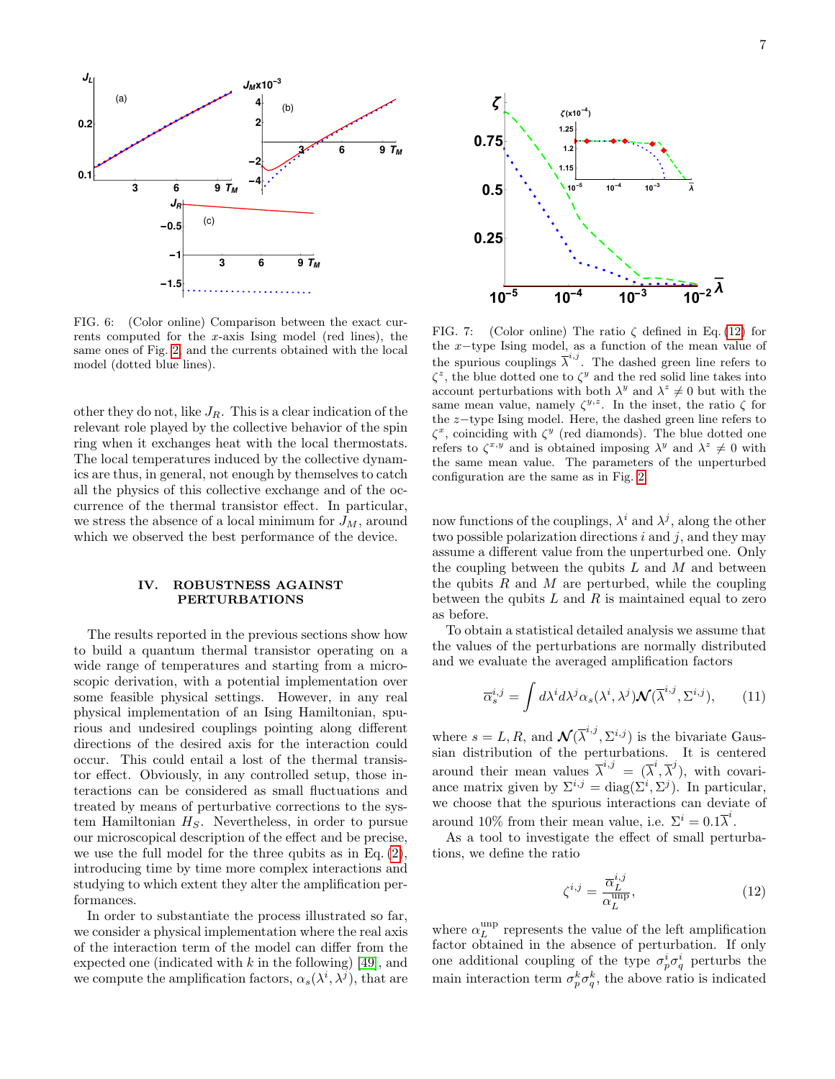

<span id="page-6-1"></span>FIG. 6: (Color online) Comparison between the exact currents computed for the  $x$ -axis Ising model (red lines), the same ones of Fig. [2,](#page-4-0) and the currents obtained with the local model (dotted blue lines).

other they do not, like  $J_R$ . This is a clear indication of the relevant role played by the collective behavior of the spin ring when it exchanges heat with the local thermostats. The local temperatures induced by the collective dynamics are thus, in general, not enough by themselves to catch all the physics of this collective exchange and of the occurrence of the thermal transistor effect. In particular, we stress the absence of a local minimum for  $J_M$ , around which we observed the best performance of the device.

# <span id="page-6-0"></span>IV. ROBUSTNESS AGAINST PERTURBATIONS

The results reported in the previous sections show how to build a quantum thermal transistor operating on a wide range of temperatures and starting from a microscopic derivation, with a potential implementation over some feasible physical settings. However, in any real physical implementation of an Ising Hamiltonian, spurious and undesired couplings pointing along different directions of the desired axis for the interaction could occur. This could entail a lost of the thermal transistor effect. Obviously, in any controlled setup, those interactions can be considered as small fluctuations and treated by means of perturbative corrections to the system Hamiltonian  $H<sub>S</sub>$ . Nevertheless, in order to pursue our microscopical description of the effect and be precise, we use the full model for the three qubits as in Eq. [\(2\)](#page-1-2), introducing time by time more complex interactions and studying to which extent they alter the amplification performances.

In order to substantiate the process illustrated so far, we consider a physical implementation where the real axis of the interaction term of the model can differ from the expected one (indicated with  $k$  in the following) [\[49\]](#page-9-52), and we compute the amplification factors,  $\alpha_s(\lambda^i, \lambda^j)$ , that are



<span id="page-6-3"></span>FIG. 7: (Color online) The ratio  $\zeta$  defined in Eq. [\(12\)](#page-6-2) for the x−type Ising model, as a function of the mean value of the spurious couplings  $\overline{\lambda}^{i,j}$ . The dashed green line refers to  $\zeta^z$ , the blue dotted one to  $\zeta^y$  and the red solid line takes into account perturbations with both  $\lambda^y$  and  $\lambda^z \neq 0$  but with the same mean value, namely  $\zeta^{y,z}$ . In the inset, the ratio  $\zeta$  for the z−type Ising model. Here, the dashed green line refers to  $\zeta^x$ , coinciding with  $\zeta^y$  (red diamonds). The blue dotted one refers to  $\zeta^{x,y}$  and is obtained imposing  $\lambda^y$  and  $\lambda^z \neq 0$  with the same mean value. The parameters of the unperturbed configuration are the same as in Fig. [2.](#page-4-0)

now functions of the couplings,  $\lambda^i$  and  $\lambda^j$ , along the other two possible polarization directions  $i$  and  $j$ , and they may assume a different value from the unperturbed one. Only the coupling between the qubits  $L$  and  $M$  and between the qubits  $R$  and  $M$  are perturbed, while the coupling between the qubits  $L$  and  $R$  is maintained equal to zero as before.

To obtain a statistical detailed analysis we assume that the values of the perturbations are normally distributed and we evaluate the averaged amplification factors

$$
\overline{\alpha}_s^{i,j} = \int d\lambda^i d\lambda^j \alpha_s(\lambda^i, \lambda^j) \mathcal{N}(\overline{\lambda}^{i,j}, \Sigma^{i,j}), \qquad (11)
$$

where  $s = L, R$ , and  $\mathcal{N}(\overline{\lambda}^{i,j}, \Sigma^{i,j})$  is the bivariate Gaussian distribution of the perturbations. It is centered around their mean values  $\overline{\lambda}^{i,j} = (\overline{\lambda}^i, \overline{\lambda}^j)$ , with covariance matrix given by  $\Sigma^{i,j} = \text{diag}(\Sigma^i, \Sigma^j)$ . In particular, we choose that the spurious interactions can deviate of around 10% from their mean value, i.e.  $\Sigma^i = 0.1 \overline{\lambda}^i$ .

As a tool to investigate the effect of small perturbations, we define the ratio

<span id="page-6-2"></span>
$$
\zeta^{i,j} = \frac{\overline{\alpha}_L^{i,j}}{\alpha_L^{\text{ump}}},\tag{12}
$$

where  $\alpha_L^{\rm unp}$  represents the value of the left amplification factor obtained in the absence of perturbation. If only one additional coupling of the type  $\sigma_p^i \sigma_q^i$  perturbs the main interaction term  $\sigma_p^k \sigma_q^k$ , the above ratio is indicated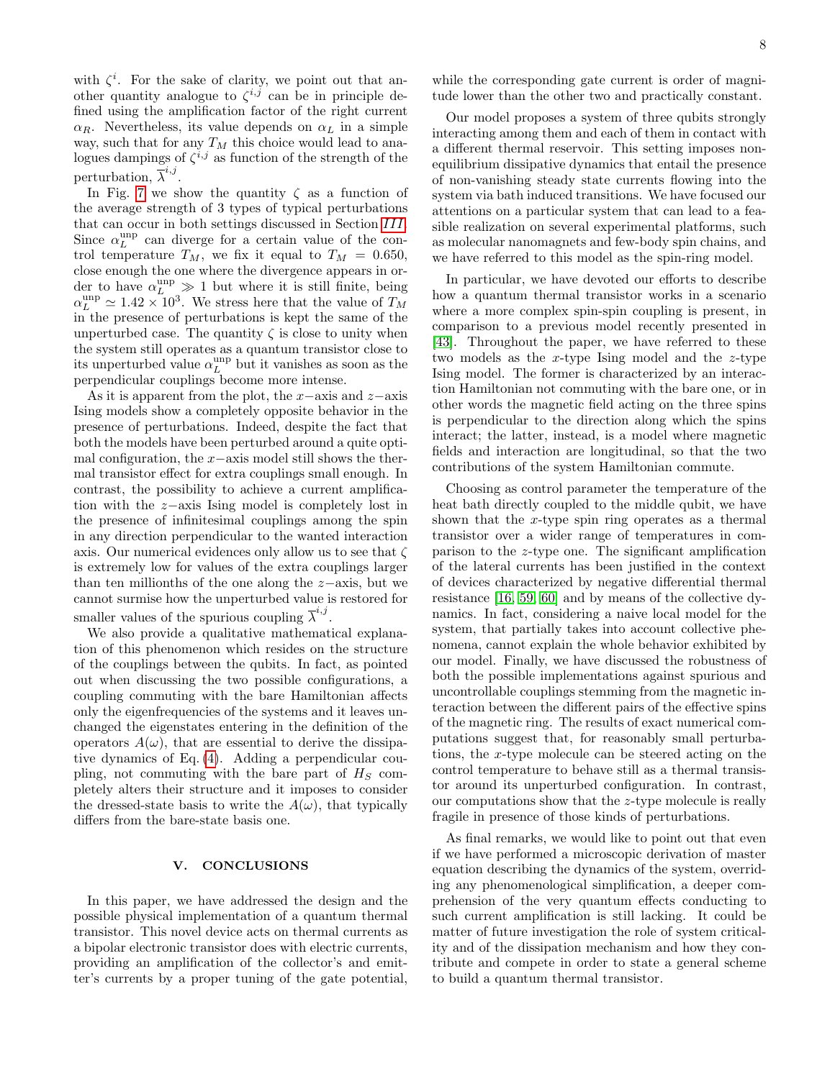with  $\zeta^i$ . For the sake of clarity, we point out that another quantity analogue to  $\zeta^{i,j}$  can be in principle defined using the amplification factor of the right current  $\alpha_R$ . Nevertheless, its value depends on  $\alpha_L$  in a simple way, such that for any  $T_M$  this choice would lead to analogues dampings of  $\zeta^{i,j}$  as function of the strength of the perturbation,  $\overline{\lambda}^{i,j}$ .

In Fig. [7](#page-6-3) we show the quantity  $\zeta$  as a function of the average strength of 3 types of typical perturbations that can occur in both settings discussed in Section [III](#page-3-0). Since  $\alpha_L^{\text{unp}}$  can diverge for a certain value of the control temperature  $T_M$ , we fix it equal to  $T_M = 0.650$ , close enough the one where the divergence appears in order to have  $\alpha_L^{\text{unp}} \gg 1$  but where it is still finite, being  $\alpha_L^{\text{unp}} \simeq 1.42 \times 10^3$ . We stress here that the value of  $T_M$ in the presence of perturbations is kept the same of the unperturbed case. The quantity  $\zeta$  is close to unity when the system still operates as a quantum transistor close to its unperturbed value  $\alpha_L^{\text{unp}}$  but it vanishes as soon as the perpendicular couplings become more intense.

As it is apparent from the plot, the  $x$ −axis and  $z$ −axis Ising models show a completely opposite behavior in the presence of perturbations. Indeed, despite the fact that both the models have been perturbed around a quite optimal configuration, the  $x$ −axis model still shows the thermal transistor effect for extra couplings small enough. In contrast, the possibility to achieve a current amplification with the z−axis Ising model is completely lost in the presence of infinitesimal couplings among the spin in any direction perpendicular to the wanted interaction axis. Our numerical evidences only allow us to see that  $\zeta$ is extremely low for values of the extra couplings larger than ten millionths of the one along the z−axis, but we cannot surmise how the unperturbed value is restored for smaller values of the spurious coupling  $\overline{\lambda}^{i,j}$ .

We also provide a qualitative mathematical explanation of this phenomenon which resides on the structure of the couplings between the qubits. In fact, as pointed out when discussing the two possible configurations, a coupling commuting with the bare Hamiltonian affects only the eigenfrequencies of the systems and it leaves unchanged the eigenstates entering in the definition of the operators  $A(\omega)$ , that are essential to derive the dissipative dynamics of Eq. [\(4\)](#page-2-1). Adding a perpendicular coupling, not commuting with the bare part of  $H<sub>S</sub>$  completely alters their structure and it imposes to consider the dressed-state basis to write the  $A(\omega)$ , that typically differs from the bare-state basis one.

### <span id="page-7-0"></span>V. CONCLUSIONS

In this paper, we have addressed the design and the possible physical implementation of a quantum thermal transistor. This novel device acts on thermal currents as a bipolar electronic transistor does with electric currents, providing an amplification of the collector's and emitter's currents by a proper tuning of the gate potential,

while the corresponding gate current is order of magnitude lower than the other two and practically constant.

Our model proposes a system of three qubits strongly interacting among them and each of them in contact with a different thermal reservoir. This setting imposes nonequilibrium dissipative dynamics that entail the presence of non-vanishing steady state currents flowing into the system via bath induced transitions. We have focused our attentions on a particular system that can lead to a feasible realization on several experimental platforms, such as molecular nanomagnets and few-body spin chains, and we have referred to this model as the spin-ring model.

In particular, we have devoted our efforts to describe how a quantum thermal transistor works in a scenario where a more complex spin-spin coupling is present, in comparison to a previous model recently presented in [\[43\]](#page-9-40). Throughout the paper, we have referred to these two models as the  $x$ -type Ising model and the  $z$ -type Ising model. The former is characterized by an interaction Hamiltonian not commuting with the bare one, or in other words the magnetic field acting on the three spins is perpendicular to the direction along which the spins interact; the latter, instead, is a model where magnetic fields and interaction are longitudinal, so that the two contributions of the system Hamiltonian commute.

Choosing as control parameter the temperature of the heat bath directly coupled to the middle qubit, we have shown that the x-type spin ring operates as a thermal transistor over a wider range of temperatures in comparison to the z-type one. The significant amplification of the lateral currents has been justified in the context of devices characterized by negative differential thermal resistance [\[16,](#page-9-14) [59,](#page-10-0) [60\]](#page-10-1) and by means of the collective dynamics. In fact, considering a naive local model for the system, that partially takes into account collective phenomena, cannot explain the whole behavior exhibited by our model. Finally, we have discussed the robustness of both the possible implementations against spurious and uncontrollable couplings stemming from the magnetic interaction between the different pairs of the effective spins of the magnetic ring. The results of exact numerical computations suggest that, for reasonably small perturbations, the x-type molecule can be steered acting on the control temperature to behave still as a thermal transistor around its unperturbed configuration. In contrast, our computations show that the z-type molecule is really fragile in presence of those kinds of perturbations.

As final remarks, we would like to point out that even if we have performed a microscopic derivation of master equation describing the dynamics of the system, overriding any phenomenological simplification, a deeper comprehension of the very quantum effects conducting to such current amplification is still lacking. It could be matter of future investigation the role of system criticality and of the dissipation mechanism and how they contribute and compete in order to state a general scheme to build a quantum thermal transistor.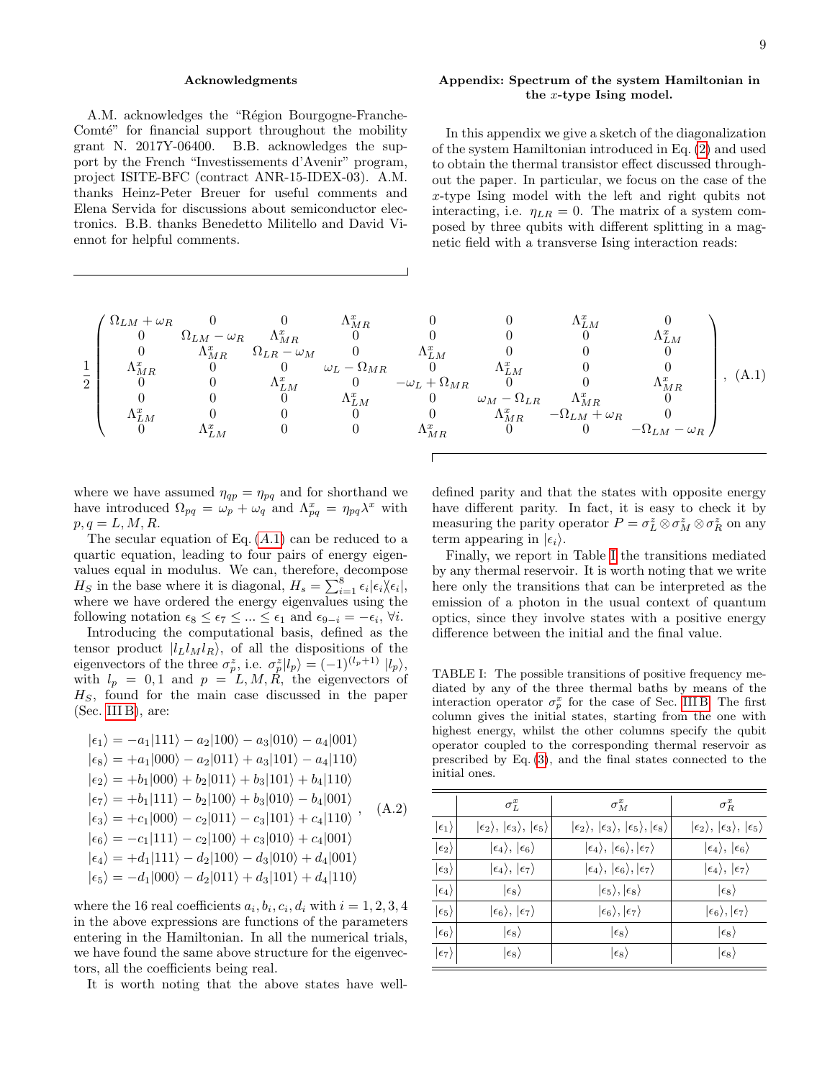### Acknowledgments

A.M. acknowledges the "Région Bourgogne-Franche-Comté" for financial support throughout the mobility grant N. 2017Y-06400. B.B. acknowledges the support by the French "Investissements d'Avenir" program, project ISITE-BFC (contract ANR-15-IDEX-03). A.M. thanks Heinz-Peter Breuer for useful comments and Elena Servida for discussions about semiconductor electronics. B.B. thanks Benedetto Militello and David Viennot for helpful comments.

# <span id="page-8-0"></span>Appendix: Spectrum of the system Hamiltonian in the x-type Ising model.

In this appendix we give a sketch of the diagonalization of the system Hamiltonian introduced in Eq. [\(2\)](#page-1-2) and used to obtain the thermal transistor effect discussed throughout the paper. In particular, we focus on the case of the x-type Ising model with the left and right qubits not interacting, i.e.  $\eta_{LR} = 0$ . The matrix of a system composed by three qubits with different splitting in a magnetic field with a transverse Ising interaction reads:

<span id="page-8-1"></span>
$$
\frac{1}{2} \begin{pmatrix} \Omega_{LM} + \omega_R & 0 & 0 & \Lambda_{MR}^x & 0 & 0 & \Lambda_{LM}^x & 0 \\ 0 & \Omega_{LM} - \omega_R & \Lambda_{MR}^x & 0 & 0 & 0 & \Lambda_{LM}^x & 0 \\ 0 & \Lambda_{MR}^x & \Omega_{LR} - \omega_M & 0 & \Lambda_{LM}^x & 0 & 0 & \Lambda_{LM}^x \\ \Lambda_{MR}^x & 0 & 0 & \omega_L - \Omega_{MR} & 0 & \Lambda_{LM}^x & 0 & 0 \\ 0 & 0 & \Lambda_{LM}^x & 0 & -\omega_L + \Omega_{MR} & 0 & 0 & \Lambda_{MR}^x & 0 \\ \Lambda_{LM}^x & 0 & 0 & \Lambda_{LM}^x & 0 & \omega_M - \Omega_{LR} & \Lambda_{MR}^x & 0 \\ \Lambda_{LM}^x & 0 & 0 & 0 & \Lambda_{MR}^x & -\Omega_{LM} + \omega_R & 0 \\ 0 & \Lambda_{LM}^x & 0 & 0 & \Lambda_{MR}^x & 0 & -\Omega_{LM} - \omega_R \end{pmatrix}, (A.1)
$$

where we have assumed  $\eta_{qp} = \eta_{pq}$  and for shorthand we have introduced  $\Omega_{pq} = \omega_p + \omega_q$  and  $\Lambda_{pq}^x = \eta_{pq} \lambda^x$  with  $p, q = L, M, R$ .

The secular equation of Eq.  $(A.1)$  $(A.1)$  $(A.1)$  can be reduced to a quartic equation, leading to four pairs of energy eigenvalues equal in modulus. We can, therefore, decompose  $H_S$  in the base where it is diagonal,  $H_s = \sum_{i=1}^{8} \epsilon_i |\epsilon_i \rangle \epsilon_i |$ , where we have ordered the energy eigenvalues using the following notation  $\epsilon_8 \leq \epsilon_7 \leq ... \leq \epsilon_1$  and  $\epsilon_{9-i} = -\epsilon_i$ ,  $\forall i$ .

Introducing the computational basis, defined as the tensor product  $|l_Ll_Ml_R\rangle$ , of all the dispositions of the eigenvectors of the three  $\sigma_p^z$ , i.e.  $\sigma_p^z |l_p\rangle = (-1)^{(l_p+1)} |l_p\rangle$ , with  $l_p = 0, 1$  and  $p = L, M, \hat{R}$ , the eigenvectors of  $H<sub>S</sub>$ , found for the main case discussed in the paper (Sec. [III B\)](#page-4-2), are:

$$
|\epsilon_1\rangle = -a_1|111\rangle - a_2|100\rangle - a_3|010\rangle - a_4|001\rangle
$$
  
\n
$$
|\epsilon_8\rangle = +a_1|000\rangle - a_2|011\rangle + a_3|101\rangle - a_4|110\rangle
$$
  
\n
$$
|\epsilon_2\rangle = +b_1|000\rangle + b_2|011\rangle + b_3|101\rangle + b_4|110\rangle
$$
  
\n
$$
|\epsilon_7\rangle = +b_1|111\rangle - b_2|100\rangle + b_3|010\rangle - b_4|001\rangle
$$
  
\n
$$
|\epsilon_3\rangle = +c_1|000\rangle - c_2|011\rangle - c_3|101\rangle + c_4|110\rangle
$$
  
\n
$$
|\epsilon_6\rangle = -c_1|111\rangle - c_2|100\rangle + c_3|010\rangle + c_4|001\rangle
$$
  
\n
$$
|\epsilon_4\rangle = +d_1|111\rangle - d_2|100\rangle - d_3|010\rangle + d_4|001\rangle
$$
  
\n
$$
|\epsilon_5\rangle = -d_1|000\rangle - d_2|011\rangle + d_3|101\rangle + d_4|110\rangle
$$

where the 16 real coefficients  $a_i, b_i, c_i, d_i$  with  $i = 1, 2, 3, 4$ in the above expressions are functions of the parameters entering in the Hamiltonian. In all the numerical trials, we have found the same above structure for the eigenvectors, all the coefficients being real.

It is worth noting that the above states have well-

defined parity and that the states with opposite energy have different parity. In fact, it is easy to check it by measuring the parity operator  $P = \sigma_L^z \otimes \sigma_M^z \otimes \sigma_R^z$  on any term appearing in  $|\epsilon_i\rangle$ .

Finally, we report in Table [I](#page-8-2) the transitions mediated by any thermal reservoir. It is worth noting that we write here only the transitions that can be interpreted as the emission of a photon in the usual context of quantum optics, since they involve states with a positive energy difference between the initial and the final value.

<span id="page-8-2"></span>TABLE I: The possible transitions of positive frequency mediated by any of the three thermal baths by means of the interaction operator  $\sigma_p^x$  for the case of Sec. [III B.](#page-4-2) The first column gives the initial states, starting from the one with highest energy, whilst the other columns specify the qubit operator coupled to the corresponding thermal reservoir as prescribed by Eq. [\(3\)](#page-2-0), and the final states connected to the initial ones.

| $\sigma_L^x$                                                                       | $\sigma_M^x$                                                                      | $\sigma_R^x$                                                 |
|------------------------------------------------------------------------------------|-----------------------------------------------------------------------------------|--------------------------------------------------------------|
| $ \epsilon_2\rangle,  \epsilon_3\rangle,  \epsilon_5\rangle$<br>$\ket{\epsilon_1}$ | $ \epsilon_2\rangle,  \epsilon_3\rangle,  \epsilon_5\rangle,  \epsilon_8\rangle $ | $ \epsilon_2\rangle,  \epsilon_3\rangle,  \epsilon_5\rangle$ |
| $ \epsilon_4\rangle,  \epsilon_6\rangle$                                           | $ \epsilon_4\rangle,  \epsilon_6\rangle,  \epsilon_7\rangle$                      | $ \epsilon_4\rangle,  \epsilon_6\rangle$                     |
| $ \epsilon_4\rangle,  \epsilon_7\rangle$                                           | $ \epsilon_4\rangle,  \epsilon_6\rangle,  \epsilon_7\rangle$                      | $ \epsilon_4\rangle,  \epsilon_7\rangle$                     |
| $\ket{\epsilon_8}$                                                                 | $ \epsilon_5\rangle,  \epsilon_8\rangle$                                          | $\ket{\epsilon_8}$                                           |
| $ \epsilon_6\rangle, \,  \epsilon_7\rangle$                                        | $ \epsilon_6\rangle,  \epsilon_7\rangle$                                          | $ \epsilon_6\rangle, \epsilon_7\rangle$                      |
| $\ket{\epsilon_8}$                                                                 | $\ket{\epsilon_8}$                                                                | $\ket{\epsilon_8}$                                           |
| $\ket{\epsilon_7}$<br>$\ket{\epsilon_8}$                                           | $\ket{\epsilon_8}$                                                                | $\ket{\epsilon_8}$                                           |
|                                                                                    |                                                                                   |                                                              |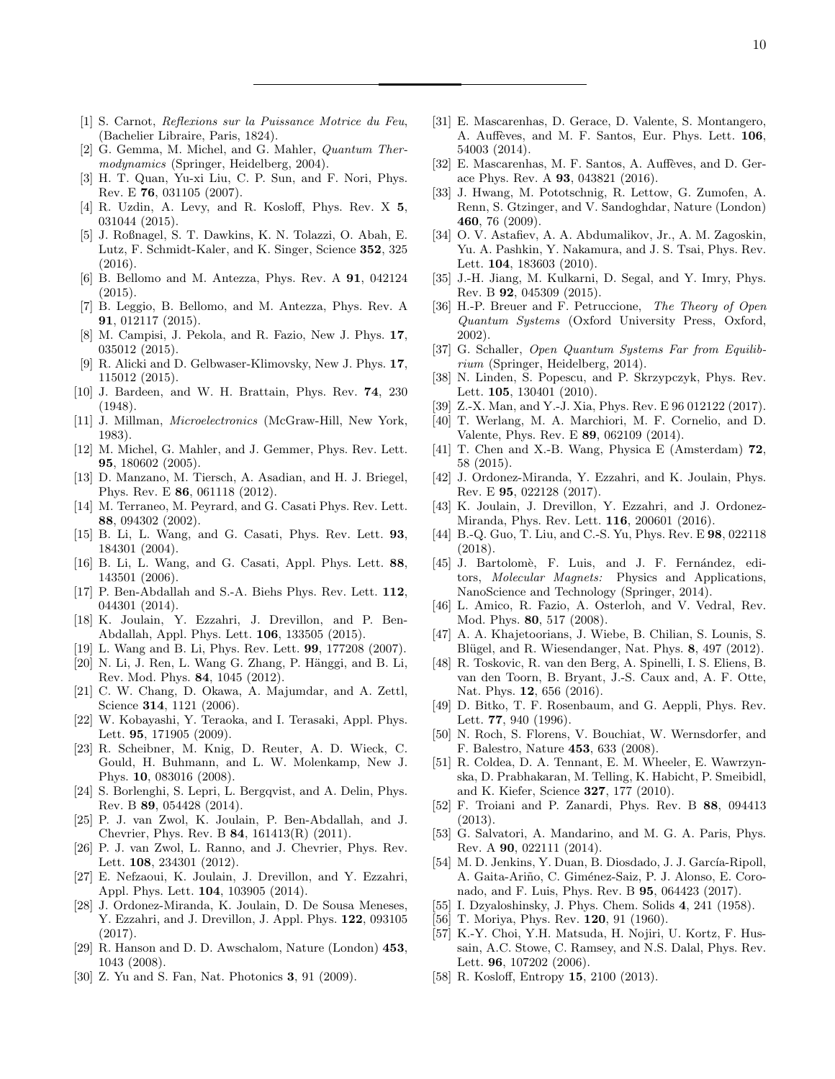- <span id="page-9-0"></span>[1] S. Carnot, Reflexions sur la Puissance Motrice du Feu, (Bachelier Libraire, Paris, 1824).
- <span id="page-9-1"></span>[2] G. Gemma, M. Michel, and G. Mahler, Quantum Thermodynamics (Springer, Heidelberg, 2004).
- <span id="page-9-2"></span>[3] H. T. Quan, Yu-xi Liu, C. P. Sun, and F. Nori, Phys. Rev. E 76, 031105 (2007).
- [4] R. Uzdin, A. Levy, and R. Kosloff, Phys. Rev. X 5, 031044 (2015).
- <span id="page-9-3"></span>[5] J. Roßnagel, S. T. Dawkins, K. N. Tolazzi, O. Abah, E. Lutz, F. Schmidt-Kaler, and K. Singer, Science 352, 325 (2016).
- <span id="page-9-4"></span>[6] B. Bellomo and M. Antezza, Phys. Rev. A 91, 042124 (2015).
- <span id="page-9-5"></span>[7] B. Leggio, B. Bellomo, and M. Antezza, Phys. Rev. A 91, 012117 (2015).
- <span id="page-9-6"></span>[8] M. Campisi, J. Pekola, and R. Fazio, New J. Phys. 17, 035012 (2015).
- <span id="page-9-7"></span>[9] R. Alicki and D. Gelbwaser-Klimovsky, New J. Phys. 17, 115012 (2015).
- <span id="page-9-8"></span>[10] J. Bardeen, and W. H. Brattain, Phys. Rev. 74, 230 (1948).
- <span id="page-9-9"></span>[11] J. Millman, Microelectronics (McGraw-Hill, New York, 1983).
- <span id="page-9-10"></span>[12] M. Michel, G. Mahler, and J. Gemmer, Phys. Rev. Lett. 95, 180602 (2005).
- <span id="page-9-11"></span>[13] D. Manzano, M. Tiersch, A. Asadian, and H. J. Briegel, Phys. Rev. E 86, 061118 (2012).
- <span id="page-9-12"></span>[14] M. Terraneo, M. Peyrard, and G. Casati Phys. Rev. Lett. 88, 094302 (2002).
- <span id="page-9-13"></span>[15] B. Li, L. Wang, and G. Casati, Phys. Rev. Lett. 93, 184301 (2004).
- <span id="page-9-14"></span>[16] B. Li, L. Wang, and G. Casati, Appl. Phys. Lett. 88, 143501 (2006).
- <span id="page-9-15"></span>[17] P. Ben-Abdallah and S.-A. Biehs Phys. Rev. Lett. 112, 044301 (2014).
- <span id="page-9-16"></span>[18] K. Joulain, Y. Ezzahri, J. Drevillon, and P. Ben-Abdallah, Appl. Phys. Lett. 106, 133505 (2015).
- <span id="page-9-17"></span>[19] L. Wang and B. Li, Phys. Rev. Lett. 99, 177208 (2007).
- <span id="page-9-18"></span>[20] N. Li, J. Ren, L. Wang G. Zhang, P. Hänggi, and B. Li, Rev. Mod. Phys. 84, 1045 (2012).
- <span id="page-9-19"></span>[21] C. W. Chang, D. Okawa, A. Majumdar, and A. Zettl, Science **314**, 1121 (2006).
- <span id="page-9-20"></span>[22] W. Kobayashi, Y. Teraoka, and I. Terasaki, Appl. Phys. Lett. 95, 171905 (2009).
- <span id="page-9-21"></span>[23] R. Scheibner, M. Knig, D. Reuter, A. D. Wieck, C. Gould, H. Buhmann, and L. W. Molenkamp, New J. Phys. 10, 083016 (2008).
- <span id="page-9-22"></span>[24] S. Borlenghi, S. Lepri, L. Bergqvist, and A. Delin, Phys. Rev. B 89, 054428 (2014).
- <span id="page-9-23"></span>[25] P. J. van Zwol, K. Joulain, P. Ben-Abdallah, and J. Chevrier, Phys. Rev. B 84, 161413(R) (2011).
- <span id="page-9-24"></span>[26] P. J. van Zwol, L. Ranno, and J. Chevrier, Phys. Rev. Lett. 108, 234301 (2012).
- <span id="page-9-25"></span>[27] E. Nefzaoui, K. Joulain, J. Drevillon, and Y. Ezzahri, Appl. Phys. Lett. 104, 103905 (2014).
- <span id="page-9-26"></span>[28] J. Ordonez-Miranda, K. Joulain, D. De Sousa Meneses, Y. Ezzahri, and J. Drevillon, J. Appl. Phys. 122, 093105 (2017).
- <span id="page-9-27"></span>[29] R. Hanson and D. D. Awschalom, Nature (London) 453, 1043 (2008).
- <span id="page-9-28"></span>[30] Z. Yu and S. Fan, Nat. Photonics 3, 91 (2009).
- <span id="page-9-29"></span>[31] E. Mascarenhas, D. Gerace, D. Valente, S. Montangero, A. Auffèves, and M. F. Santos, Eur. Phys. Lett. 106, 54003 (2014).
- <span id="page-9-30"></span>[32] E. Mascarenhas, M. F. Santos, A. Auffèves, and D. Gerace Phys. Rev. A 93, 043821 (2016).
- <span id="page-9-31"></span>[33] J. Hwang, M. Pototschnig, R. Lettow, G. Zumofen, A. Renn, S. Gtzinger, and V. Sandoghdar, Nature (London) 460, 76 (2009).
- <span id="page-9-32"></span>[34] O. V. Astafiev, A. A. Abdumalikov, Jr., A. M. Zagoskin, Yu. A. Pashkin, Y. Nakamura, and J. S. Tsai, Phys. Rev. Lett. 104, 183603 (2010).
- <span id="page-9-33"></span>[35] J.-H. Jiang, M. Kulkarni, D. Segal, and Y. Imry, Phys. Rev. B 92, 045309 (2015).
- <span id="page-9-34"></span>[36] H.-P. Breuer and F. Petruccione, The Theory of Open Quantum Systems (Oxford University Press, Oxford, 2002).
- <span id="page-9-35"></span>[37] G. Schaller, Open Quantum Systems Far from Equilibrium (Springer, Heidelberg, 2014).
- <span id="page-9-36"></span>[38] N. Linden, S. Popescu, and P. Skrzypczyk, Phys. Rev. Lett. 105, 130401 (2010).
- <span id="page-9-37"></span>[39] Z.-X. Man, and Y.-J. Xia, Phys. Rev. E 96 012122 (2017).
- <span id="page-9-38"></span>[40] T. Werlang, M. A. Marchiori, M. F. Cornelio, and D. Valente, Phys. Rev. E 89, 062109 (2014).
- [41] T. Chen and X.-B. Wang, Physica E (Amsterdam) 72, 58 (2015).
- <span id="page-9-39"></span>[42] J. Ordonez-Miranda, Y. Ezzahri, and K. Joulain, Phys. Rev. E 95, 022128 (2017).
- <span id="page-9-40"></span>[43] K. Joulain, J. Drevillon, Y. Ezzahri, and J. Ordonez-Miranda, Phys. Rev. Lett. 116, 200601 (2016).
- <span id="page-9-41"></span>[44] B.-Q. Guo, T. Liu, and C.-S. Yu, Phys. Rev. E 98, 022118 (2018).
- <span id="page-9-42"></span>[45] J. Bartolomè, F. Luis, and J. F. Fernández, editors, Molecular Magnets: Physics and Applications, NanoScience and Technology (Springer, 2014).
- <span id="page-9-43"></span>[46] L. Amico, R. Fazio, A. Osterloh, and V. Vedral, Rev. Mod. Phys. 80, 517 (2008).
- <span id="page-9-44"></span>[47] A. A. Khajetoorians, J. Wiebe, B. Chilian, S. Lounis, S. Blügel, and R. Wiesendanger, Nat. Phys. 8, 497 (2012).
- [48] R. Toskovic, R. van den Berg, A. Spinelli, I. S. Eliens, B. van den Toorn, B. Bryant, J.-S. Caux and, A. F. Otte, Nat. Phys. 12, 656 (2016).
- <span id="page-9-52"></span>[49] D. Bitko, T. F. Rosenbaum, and G. Aeppli, Phys. Rev. Lett. 77, 940 (1996).
- <span id="page-9-53"></span>[50] N. Roch, S. Florens, V. Bouchiat, W. Wernsdorfer, and F. Balestro, Nature 453, 633 (2008).
- <span id="page-9-45"></span>[51] R. Coldea, D. A. Tennant, E. M. Wheeler, E. Wawrzynska, D. Prabhakaran, M. Telling, K. Habicht, P. Smeibidl, and K. Kiefer, Science 327, 177 (2010).
- <span id="page-9-46"></span>[52] F. Troiani and P. Zanardi, Phys. Rev. B 88, 094413 (2013).
- <span id="page-9-47"></span>[53] G. Salvatori, A. Mandarino, and M. G. A. Paris, Phys. Rev. A 90, 022111 (2014).
- <span id="page-9-48"></span>[54] M. D. Jenkins, Y. Duan, B. Diosdado, J. J. García-Ripoll, A. Gaita-Ariño, C. Giménez-Saiz, P. J. Alonso, E. Coronado, and F. Luis, Phys. Rev. B 95, 064423 (2017).
- <span id="page-9-49"></span>[55] I. Dzyaloshinsky, J. Phys. Chem. Solids 4, 241 (1958).
- <span id="page-9-50"></span>[56] T. Moriya, Phys. Rev. **120**, 91 (1960).
- <span id="page-9-51"></span>[57] K.-Y. Choi, Y.H. Matsuda, H. Nojiri, U. Kortz, F. Hussain, A.C. Stowe, C. Ramsey, and N.S. Dalal, Phys. Rev. Lett. **96**, 107202 (2006).
- <span id="page-9-54"></span>[58] R. Kosloff, Entropy **15**, 2100 (2013).